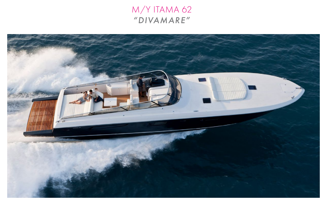# M/Y ITAMA 62 "DIVAMARE"

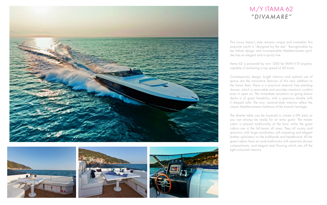This luxury Itama's style remains unique and inimitable: this exquisite yacht is "designed by the sea". Recognizable by her Italian design and incomparable Mediterranean spirit, she has an elegant and a sporty line.

Itama 62 is powered by twin 1360 hp MAN V10 engines, capable of achieving a top speed of 40 knots.

Contemporary design, bright interiors and optimal use of space are the innovative features of this new addition to the Itama fleet. There is a practical external free-standing shower, which is removable and provides maximum comfort even in open air. The immediate sensation on going below decks is of great liveability, with a spacious dinette with C-shaped sofa. The airy, nautical-style interiors reflect the classic Mediterranean traditions of the brand's heritage.









# M/Y ITAMA 62 "YVONNE" *"DIVAMARE"*

The dinette table can be lowered to create a fifth bed, so you can always be ready for an extra guest. The master cabin is placed traditionally at the bow while the guest cabins are in the full-beam aft area. They all roomy and spacious, with large wardrobes, soft carpeting and elegant leather upholstery on the bulkheads and headboard. All the guest cabins have en-suite bathrooms with separate shower compartments, and elegant teak flooring which sets off the light-coloured interiors.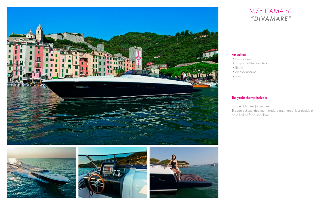#### The yacht charter includes:









#### M/Y ITAMA 62 **IVAMARE** M/Y ITAMA 62 *"DIVAMARE"*

#### Amenities:

- Deck shower
- •Sunpads at the front deck
- •Bimini
- Air conditionning
- $\bullet$  Toys

Skipper + hostess (on request)

The yacht charter does not include: diesel, harbor fees outside of base harbor, food and drinks.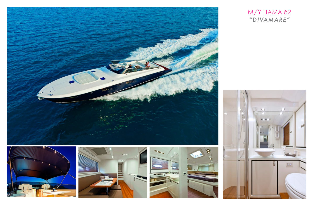